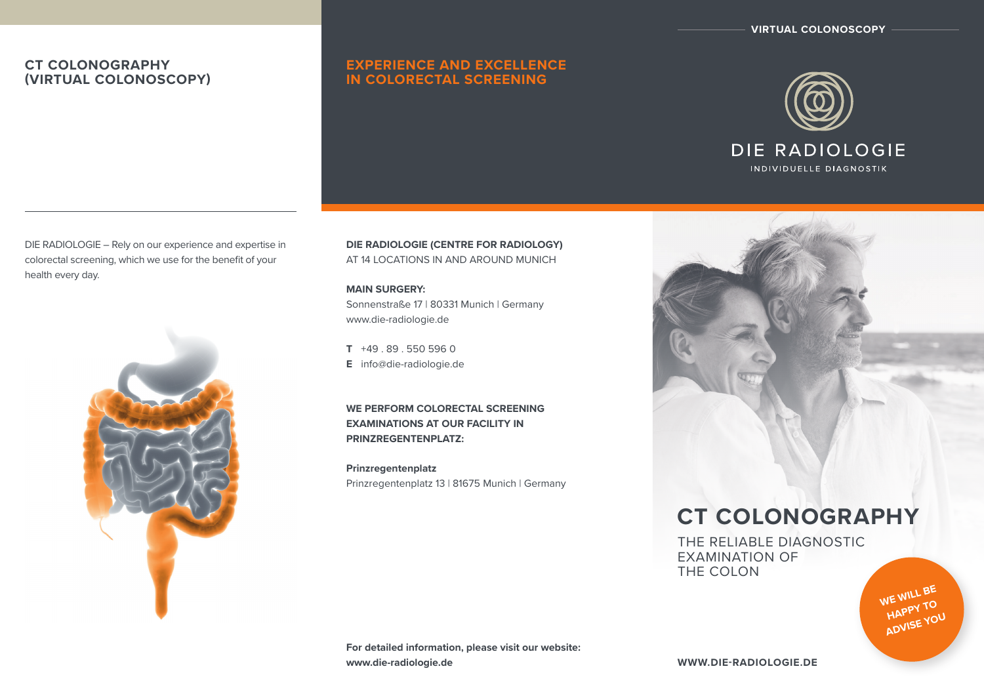**VIRTUAL COLONOSCOPY**

# **CT COLONOGRAPHY (VIRTUAL COLONOSCOPY)**

# **EXPERIENCE AND EXCELLENCE IN COLORECTAL SCREENING**



DIE RADIOLOGIE – Rely on our experience and expertise in colorectal screening, which we use for the benefit of your health every day.



**DIE RADIOLOGIE (CENTRE FOR RADIOLOGY)**  AT 14 LOCATIONS IN AND AROUND MUNICH

**MAIN SURGERY:** Sonnenstraße 17 | 80331 Munich | Germany www.die-radiologie.de

**T** +49 . 89 . 550 596 0 **E** info@die-radiologie.de

**WE PERFORM COLORECTAL SCREENING EXAMINATIONS AT OUR FACILITY IN PRINZREGENTENPLATZ:** 

**Prinzregentenplatz** Prinzregentenplatz 13 | 81675 Munich | Germany



# **CT COLONOGRAPHY**

THE RELIABLE DIAGNOSTIC EXAMINATION OF THE COLON

> **WE WILL BE HAPPY TO**  ADVISE YOU

**For detailed information, please visit our website: www.die-radiologie.de**

**www.die-radiologie.de**